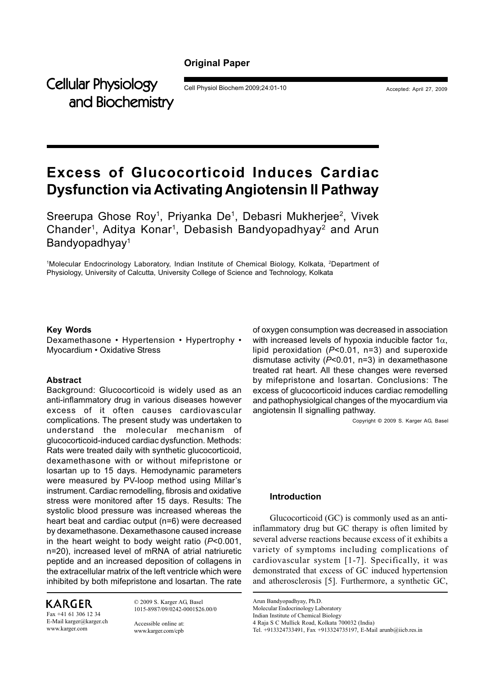# **Original Paper**

Cellular Physiology Cell Physiol Biochem 2009;24:01-10 Accepted: April 27, 2009 and Biochemistry

# **Excess of Glucocorticoid Induces Cardiac Dysfunction via Activating Angiotensin II Pathway**

Sreerupa Ghose Roy<sup>1</sup>, Priyanka De<sup>1</sup>, Debasri Mukherjee<sup>2</sup>, Vivek Chander<sup>1</sup>, Aditya Konar<sup>1</sup>, Debasish Bandyopadhyay<sup>2</sup> and Arun Bandyopadhyay<sup>1</sup>

<sup>1</sup>Molecular Endocrinology Laboratory, Indian Institute of Chemical Biology, Kolkata, <sup>2</sup>Department of Physiology, University of Calcutta, University College of Science and Technology, Kolkata

### **Key Words**

Dexamethasone • Hypertension • Hypertrophy • Myocardium • Oxidative Stress

# **Abstract**

Background: Glucocorticoid is widely used as an anti-inflammatory drug in various diseases however excess of it often causes cardiovascular complications. The present study was undertaken to understand the molecular mechanism of glucocorticoid-induced cardiac dysfunction. Methods: Rats were treated daily with synthetic glucocorticoid, dexamethasone with or without mifepristone or losartan up to 15 days. Hemodynamic parameters were measured by PV-loop method using Millar's instrument. Cardiac remodelling, fibrosis and oxidative stress were monitored after 15 days. Results: The systolic blood pressure was increased whereas the heart beat and cardiac output (n=6) were decreased by dexamethasone. Dexamethasone caused increase in the heart weight to body weight ratio (*P*<0.001, n=20), increased level of mRNA of atrial natriuretic peptide and an increased deposition of collagens in the extracellular matrix of the left ventricle which were inhibited by both mifepristone and losartan. The rate

# **KARGER**

Fax +41 61 306 12 34 E-Mail karger@karger.ch www.karger.com

© 2009 S. Karger AG, Basel 1015-8987/09/0242-0001\$26.00/0

Accessible online at: www.karger.com/cpb of oxygen consumption was decreased in association with increased levels of hypoxia inducible factor  $1\alpha$ , lipid peroxidation (*P*<0.01, n=3) and superoxide dismutase activity (*P*<0.01, n=3) in dexamethasone treated rat heart. All these changes were reversed by mifepristone and losartan. Conclusions: The excess of glucocorticoid induces cardiac remodelling and pathophysiolgical changes of the myocardium via angiotensin II signalling pathway.

Copyright © 2009 S. Karger AG, Basel

# **Introduction**

Glucocorticoid (GC) is commonly used as an antiinflammatory drug but GC therapy is often limited by several adverse reactions because excess of it exhibits a variety of symptoms including complications of cardiovascular system [1-7]. Specifically, it was demonstrated that excess of GC induced hypertension and atherosclerosis [5]. Furthermore, a synthetic GC,

Arun Bandyopadhyay, Ph.D.

Molecular Endocrinology Laboratory

Indian Institute of Chemical Biology

<sup>4</sup> Raja S C Mullick Road, Kolkata 700032 (India)

Tel. +913324733491, Fax +913324735197, E-Mail arunb@iicb.res.in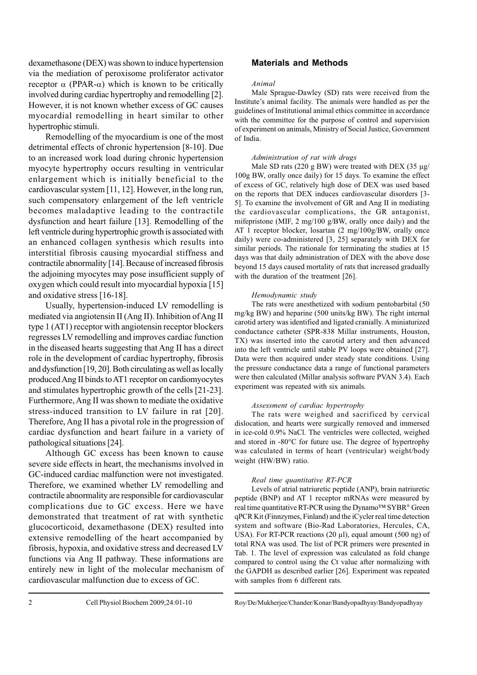dexamethasone (DEX) was shown to induce hypertension via the mediation of peroxisome proliferator activator receptor  $\alpha$  (PPAR- $\alpha$ ) which is known to be critically involved during cardiac hypertrophy and remodelling [2]. However, it is not known whether excess of GC causes myocardial remodelling in heart similar to other hypertrophic stimuli.

Remodelling of the myocardium is one of the most detrimental effects of chronic hypertension [8-10]. Due to an increased work load during chronic hypertension myocyte hypertrophy occurs resulting in ventricular enlargement which is initially beneficial to the cardiovascular system [11, 12]. However, in the long run, such compensatory enlargement of the left ventricle becomes maladaptive leading to the contractile dysfunction and heart failure [13]. Remodelling of the left ventricle during hypertrophic growth is associated with an enhanced collagen synthesis which results into interstitial fibrosis causing myocardial stiffness and contractile abnormality [14]. Because of increased fibrosis the adjoining myocytes may pose insufficient supply of oxygen which could result into myocardial hypoxia [15] and oxidative stress [16-18].

Usually, hypertension-induced LV remodelling is mediated via angiotensin II (Ang II). Inhibition of Ang II type 1 (AT1) receptor with angiotensin receptor blockers regresses LV remodelling and improves cardiac function in the diseased hearts suggesting that Ang II has a direct role in the development of cardiac hypertrophy, fibrosis and dysfunction [19, 20]. Both circulating as well as locally produced Ang II binds to AT1 receptor on cardiomyocytes and stimulates hypertrophic growth of the cells [21-23]. Furthermore, Ang II was shown to mediate the oxidative stress-induced transition to LV failure in rat [20]. Therefore, Ang II has a pivotal role in the progression of cardiac dysfunction and heart failure in a variety of pathological situations [24].

Although GC excess has been known to cause severe side effects in heart, the mechanisms involved in GC-induced cardiac malfunction were not investigated. Therefore, we examined whether LV remodelling and contractile abnormality are responsible for cardiovascular complications due to GC excess. Here we have demonstrated that treatment of rat with synthetic glucocorticoid, dexamethasone (DEX) resulted into extensive remodelling of the heart accompanied by fibrosis, hypoxia, and oxidative stress and decreased LV functions via Ang II pathway. These informations are entirely new in light of the molecular mechanism of cardiovascular malfunction due to excess of GC.

# **Materials and Methods**

### *Animal*

Male Sprague-Dawley (SD) rats were received from the Institute's animal facility. The animals were handled as per the guidelines of Institutional animal ethics committee in accordance with the committee for the purpose of control and supervision of experiment on animals, Ministry of Social Justice, Government of India.

#### *Administration of rat with drugs*

Male SD rats (220 g BW) were treated with DEX (35 µg/ 100g BW, orally once daily) for 15 days. To examine the effect of excess of GC, relatively high dose of DEX was used based on the reports that DEX induces cardiovascular disorders [3- 5]. To examine the involvement of GR and Ang II in mediating the cardiovascular complications, the GR antagonist, mifepristone (MIF, 2 mg/100 g/BW, orally once daily) and the AT 1 receptor blocker, losartan (2 mg/100g/BW, orally once daily) were co-administered [3, 25] separately with DEX for similar periods. The rationale for terminating the studies at 15 days was that daily administration of DEX with the above dose beyond 15 days caused mortality of rats that increased gradually with the duration of the treatment [26].

#### *Hemodynamic study*

The rats were anesthetized with sodium pentobarbital (50 mg/kg BW) and heparine (500 units/kg BW). The right internal carotid artery was identified and ligated cranially. A miniaturized conductance catheter (SPR-838 Millar instruments, Houston, TX) was inserted into the carotid artery and then advanced into the left ventricle until stable PV loops were obtained [27]. Data were then acquired under steady state conditions. Using the pressure conductance data a range of functional parameters were then calculated (Millar analysis software PVAN 3.4). Each experiment was repeated with six animals.

#### *Assessment of cardiac hypertrophy*

The rats were weighed and sacrificed by cervical dislocation, and hearts were surgically removed and immersed in ice-cold 0.9% NaCl. The ventricles were collected, weighed and stored in -80°C for future use. The degree of hypertrophy was calculated in terms of heart (ventricular) weight/body weight (HW/BW) ratio.

#### *Real time quantitative RT-PCR*

Levels of atrial natriuretic peptide (ANP), brain natriuretic peptide (BNP) and AT 1 receptor mRNAs were measured by real time quantitative RT-PCR using the Dynamo™ SYBR® Green qPCR Kit (Finnzymes, Finland) and the iCycler real time detection system and software (Bio-Rad Laboratories, Hercules, CA, USA). For RT-PCR reactions (20  $\mu$ l), equal amount (500 ng) of total RNA was used. The list of PCR primers were presented in Tab. 1. The level of expression was calculated as fold change compared to control using the Ct value after normalizing with the GAPDH as described earlier [26]. Experiment was repeated with samples from 6 different rats.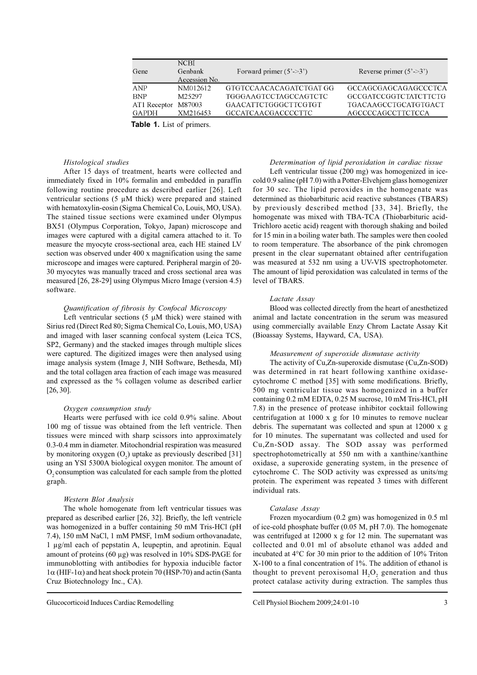| Gene               | <b>NCBI</b><br>Genbank | Forward primer $(5^{\degree}\text{--}3^{\degree})$ | Reverse primer $(5'-3)$ |  |
|--------------------|------------------------|----------------------------------------------------|-------------------------|--|
|                    | Accession No.          |                                                    |                         |  |
| ANP                | NM012612               | GTGTCCAACACAGATCTGAT GG                            | GCCAGCGAGCAGAGCCCTCA    |  |
| <b>BNP</b>         | M25297                 | TGGGAAGTCCTAGCCAGTCTC                              | GCCGATCCGGTCTATCTTCTG   |  |
| AT1 Receptor       | M87003                 | GAACATTCTGGGCTTCGTGT                               | TGACAAGCCTGCATGTGACT    |  |
| GAPDH              | XM216453               | GCCATCAACGACCCCTTC                                 | AGCCCCAGCCTTCTCCA       |  |
| モントリン オーエフ・ファーク・ファ |                        |                                                    |                         |  |

**Table 1.** List of primers.

### *Histological studies*

After 15 days of treatment, hearts were collected and immediately fixed in 10% formalin and embedded in paraffin following routine procedure as described earlier [26]. Left ventricular sections (5 µM thick) were prepared and stained with hematoxylin-eosin (Sigma Chemical Co, Louis, MO, USA). The stained tissue sections were examined under Olympus BX51 (Olympus Corporation, Tokyo, Japan) microscope and images were captured with a digital camera attached to it. To measure the myocyte cross-sectional area, each HE stained LV section was observed under 400 x magnification using the same microscope and images were captured. Peripheral margin of 20- 30 myocytes was manually traced and cross sectional area was measured [26, 28-29] using Olympus Micro Image (version 4.5) software.

#### *Quantification of fibrosis by Confocal Microscopy*

Left ventricular sections  $(5 \mu M)$  thick) were stained with Sirius red (Direct Red 80; Sigma Chemical Co, Louis, MO, USA) and imaged with laser scanning confocal system (Leica TCS, SP2, Germany) and the stacked images through multiple slices were captured. The digitized images were then analysed using image analysis system (Image J, NIH Software, Bethesda, MI) and the total collagen area fraction of each image was measured and expressed as the % collagen volume as described earlier [26, 30].

#### *Oxygen consumption study*

Hearts were perfused with ice cold 0.9% saline. About 100 mg of tissue was obtained from the left ventricle. Then tissues were minced with sharp scissors into approximately 0.3-0.4 mm in diameter. Mitochondrial respiration was measured by monitoring oxygen  $(O_2)$  uptake as previously described [31] using an YSI 5300A biological oxygen monitor. The amount of  $O_2$  consumption was calculated for each sample from the plotted graph.

#### *Western Blot Analysis*

The whole homogenate from left ventricular tissues was prepared as described earlier [26, 32]. Briefly, the left ventricle was homogenized in a buffer containing 50 mM Tris-HCl (pH 7.4), 150 mM NaCl, 1 mM PMSF, 1mM sodium orthovanadate, 1 µg/ml each of pepstatin A, leupeptin, and aprotinin. Equal amount of proteins (60 µg) was resolved in 10% SDS-PAGE for immunoblotting with antibodies for hypoxia inducible factor  $1\alpha$  (HIF-1 $\alpha$ ) and heat shock protein 70 (HSP-70) and actin (Santa Cruz Biotechnology Inc., CA).

#### Glucocorticoid Induces Cardiac Remodelling Cell Physiol Biochem 2009;24:01-10

#### *Determination of lipid peroxidation in cardiac tissue*

Left ventricular tissue (200 mg) was homogenized in icecold 0.9 saline (pH 7.0) with a Potter-Elvehjem glass homogenizer for 30 sec. The lipid peroxides in the homogenate was determined as thiobarbituric acid reactive substances (TBARS) by previously described method [33, 34]. Briefly, the homogenate was mixed with TBA-TCA (Thiobarbituric acid-Trichloro acetic acid) reagent with thorough shaking and boiled for 15 min in a boiling water bath. The samples were then cooled to room temperature. The absorbance of the pink chromogen present in the clear supernatant obtained after centrifugation was measured at 532 nm using a UV-VIS spectrophotometer. The amount of lipid peroxidation was calculated in terms of the level of TBARS.

#### *Lactate Assay*

Blood was collected directly from the heart of anesthetized animal and lactate concentration in the serum was measured using commercially available Enzy Chrom Lactate Assay Kit (Bioassay Systems, Hayward, CA, USA).

#### *Measurement of superoxide dismutase activity*

The activity of Cu,Zn-superoxide dismutase (Cu,Zn-SOD) was determined in rat heart following xanthine oxidasecytochrome C method [35] with some modifications. Briefly, 500 mg ventricular tissue was homogenized in a buffer containing 0.2 mM EDTA, 0.25 M sucrose, 10 mM Tris-HCl, pH 7.8) in the presence of protease inhibitor cocktail following centrifugation at 1000 x g for 10 minutes to remove nuclear debris. The supernatant was collected and spun at 12000 x g for 10 minutes. The supernatant was collected and used for Cu,Zn-SOD assay. The SOD assay was performed spectrophotometrically at 550 nm with a xanthine/xanthine oxidase, a superoxide generating system, in the presence of cytochrome C. The SOD activity was expressed as units/mg protein. The experiment was repeated 3 times with different individual rats.

#### *Catalase Assay*

Frozen myocardium (0.2 gm) was homogenized in 0.5 ml of ice-cold phosphate buffer (0.05 M, pH 7.0). The homogenate was centrifuged at 12000 x g for 12 min. The supernatant was collected and 0.01 ml of absolute ethanol was added and incubated at 4°C for 30 min prior to the addition of 10% Triton X-100 to a final concentration of 1%. The addition of ethanol is thought to prevent peroxisomal  $H_2O_2$  generation and thus protect catalase activity during extraction. The samples thus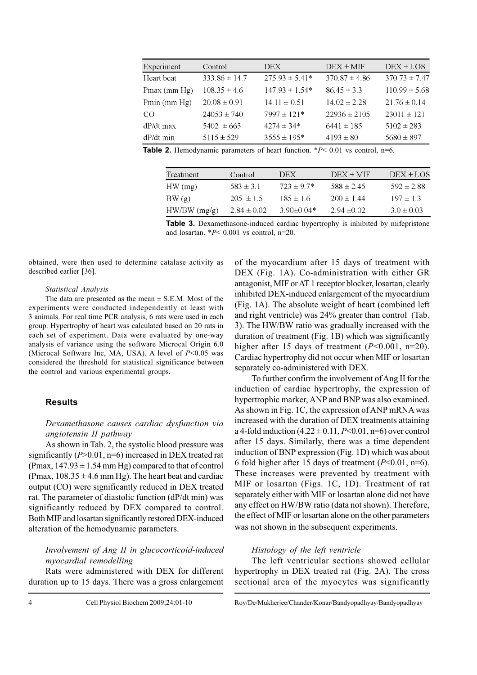| Experiment   | Control           | DEX.               | $DEX + MIF$       | $DEX + LOS$       |
|--------------|-------------------|--------------------|-------------------|-------------------|
| Heart beat   | $333.86 \pm 14.7$ | $275.93 \pm 5.41*$ | $370.87 \pm 4.86$ | $370.73 \pm 7.47$ |
| Pmax (mm Hg) | $108.35 \pm 4.6$  | $147.93 \pm 1.54*$ | $86.45 \pm 3.3$   | $110.99 \pm 5.68$ |
| Pmin (mm Hg) | $20.08 \pm 0.91$  | $14.11 \pm 0.51$   | $14.02 \pm 2.28$  | $21.76 \pm 0.14$  |
| CO           | $24053 \pm 740$   | $7997 \pm 121*$    | $22936 \pm 2105$  | $23011 \pm 121$   |
| dP/dt max    | $5402 \pm 665$    | $4274 \pm 34*$     | $6441 \pm 185$    | $5102 \pm 283$    |
| dP/dt min    | $5115 \pm 529$    | $3555 \pm 195*$    | $4193 \pm 80$     | $5680 \pm 897$    |

**Table 2.** Hemodynamic parameters of heart function. \**P*< 0.01 vs control, n=6.

| Treatment      | Control         | DEX              | $DEX + MF$      | $DEX + LOS$    |
|----------------|-----------------|------------------|-----------------|----------------|
| HW(mg)         | $583 \pm 31$    | $723 \pm 97*$    | $588 \pm 245$   | $592 \pm 2.88$ |
| BW(g)          | $205 \pm 1.5$   | $185 \pm 16$     | $200 \pm 144$   | $197 \pm 13$   |
| $HW/BW$ (mg/g) | $2.84 \pm 0.02$ | 3.90 $\pm$ 0.04* | $2.94 \pm 0.02$ | $3.0 \pm 0.03$ |

**Table 3.** Dexamethasone-induced cardiac hypertrophy is inhibited by mifepristone and losartan.  $*P< 0.001$  vs control, n=20.

obtained, were then used to determine catalase activity as described earlier [36].

#### *Statistical Analysis*

The data are presented as the mean  $\pm$  S.E.M. Most of the experiments were conducted independently at least with 3 animals. For real time PCR analysis, 6 rats were used in each group. Hypertrophy of heart was calculated based on 20 rats in each set of experiment. Data were evaluated by one-way analysis of variance using the software Microcal Origin 6.0 (Microcal Software Inc, MA, USA). A level of *P*<0.05 was considered the threshold for statistical significance between the control and various experimental groups.

### **Results**

# *Dexamethasone causes cardiac dysfunction via angiotensin II pathway*

As shown in Tab. 2, the systolic blood pressure was significantly (*P*>0.01, n=6) increased in DEX treated rat (Pmax,  $147.93 \pm 1.54$  mm Hg) compared to that of control (Pmax,  $108.35 \pm 4.6$  mm Hg). The heart beat and cardiac output (CO) were significantly reduced in DEX treated rat. The parameter of diastolic function (dP/dt min) was significantly reduced by DEX compared to control. Both MIF and losartan significantly restored DEX-induced alteration of the hemodynamic parameters.

# *Involvement of Ang II in glucocorticoid-induced myocardial remodelling*

Rats were administered with DEX for different duration up to 15 days. There was a gross enlargement of the myocardium after 15 days of treatment with DEX (Fig. 1A). Co-administration with either GR antagonist, MIF or AT 1 receptor blocker, losartan, clearly inhibited DEX-induced enlargement of the myocardium (Fig. 1A). The absolute weight of heart (combined left and right ventricle) was 24% greater than control (Tab. 3). The HW/BW ratio was gradually increased with the duration of treatment (Fig. 1B) which was significantly higher after 15 days of treatment  $(P<0.001, n=20)$ . Cardiac hypertrophy did not occur when MIF or losartan separately co-administered with DEX.

To further confirm the involvement of Ang II for the induction of cardiac hypertrophy, the expression of hypertrophic marker, ANP and BNP was also examined. As shown in Fig. 1C, the expression of ANP mRNA was increased with the duration of DEX treatments attaining a 4-fold induction (4.22 ± 0.11, *P*<0.01, n=6) over control after 15 days. Similarly, there was a time dependent induction of BNP expression (Fig. 1D) which was about 6 fold higher after 15 days of treatment (*P*<0.01, n=6). These increases were prevented by treatment with MIF or losartan (Figs. 1C, 1D). Treatment of rat separately either with MIF or losartan alone did not have any effect on HW/BW ratio (data not shown). Therefore, the effect of MIF or losartan alone on the other parameters was not shown in the subsequent experiments.

# *Histology of the left ventricle*

The left ventricular sections showed cellular hypertrophy in DEX treated rat (Fig. 2A). The cross sectional area of the myocytes was significantly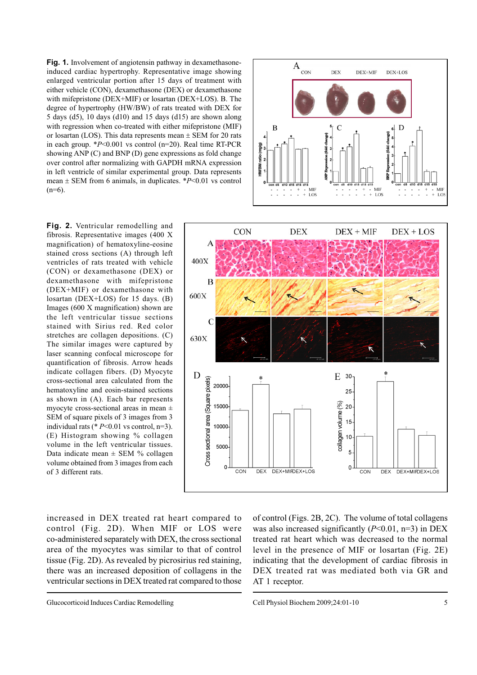**Fig. 1.** Involvement of angiotensin pathway in dexamethasoneinduced cardiac hypertrophy. Representative image showing enlarged ventricular portion after 15 days of treatment with either vehicle (CON), dexamethasone (DEX) or dexamethasone with mifepristone (DEX+MIF) or losartan (DEX+LOS). B. The degree of hypertrophy (HW/BW) of rats treated with DEX for 5 days (d5), 10 days (d10) and 15 days (d15) are shown along with regression when co-treated with either mifepristone (MIF) or losartan (LOS). This data represents mean  $\pm$  SEM for 20 rats in each group. \**P*<0.001 vs control (n=20). Real time RT-PCR showing ANP (C) and BNP (D) gene expressions as fold change over control after normalizing with GAPDH mRNA expression in left ventricle of similar experimental group. Data represents mean  $\pm$  SEM from 6 animals, in duplicates. \* $P \le 0.01$  vs control  $(n=6)$ .

**Fig. 2.** Ventricular remodelling and fibrosis. Representative images (400 X magnification) of hematoxyline-eosine stained cross sections (A) through left ventricles of rats treated with vehicle (CON) or dexamethasone (DEX) or dexamethasone with mifepristone (DEX+MIF) or dexamethasone with losartan (DEX+LOS) for 15 days. (B) Images (600 X magnification) shown are the left ventricular tissue sections stained with Sirius red. Red color stretches are collagen depositions. (C) The similar images were captured by laser scanning confocal microscope for quantification of fibrosis. Arrow heads indicate collagen fibers. (D) Myocyte cross-sectional area calculated from the hematoxyline and eosin-stained sections as shown in (A). Each bar represents myocyte cross-sectional areas in mean ± SEM of square pixels of 3 images from 3 individual rats (\* *P*<0.01 vs control, n=3). (E) Histogram showing % collagen volume in the left ventricular tissues. Data indicate mean  $\pm$  SEM % collagen volume obtained from 3 images from each of 3 different rats.





increased in DEX treated rat heart compared to control (Fig. 2D). When MIF or LOS were co-administered separately with DEX, the cross sectional area of the myocytes was similar to that of control tissue (Fig. 2D). As revealed by picrosirius red staining, there was an increased deposition of collagens in the ventricular sections in DEX treated rat compared to those

Glucocorticoid Induces Cardiac Remodelling Cell Physiol Biochem 2009;24:01-10

of control (Figs. 2B, 2C). The volume of total collagens was also increased significantly (*P*<0.01, n=3) in DEX treated rat heart which was decreased to the normal level in the presence of MIF or losartan (Fig. 2E) indicating that the development of cardiac fibrosis in DEX treated rat was mediated both via GR and AT 1 receptor.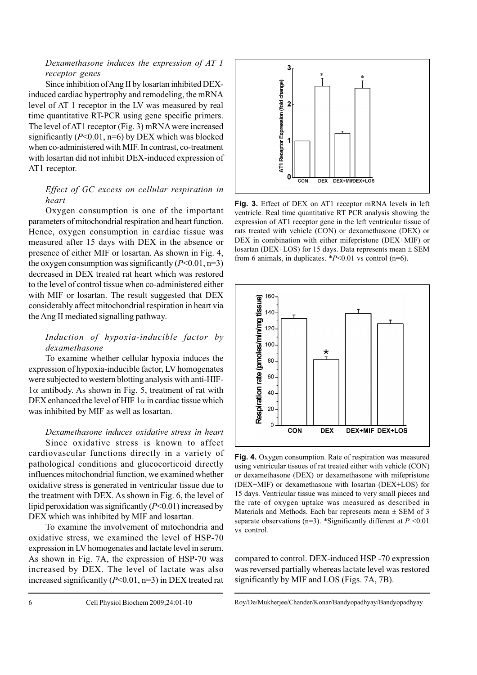# *Dexamethasone induces the expression of AT 1 receptor genes*

Since inhibition of Ang II by losartan inhibited DEXinduced cardiac hypertrophy and remodeling, the mRNA level of AT 1 receptor in the LV was measured by real time quantitative RT-PCR using gene specific primers. The level of AT1 receptor (Fig. 3) mRNA were increased significantly  $(P<0.01, n=6)$  by DEX which was blocked when co-administered with MIF. In contrast, co-treatment with losartan did not inhibit DEX-induced expression of AT1 receptor.

# *Effect of GC excess on cellular respiration in heart*

Oxygen consumption is one of the important parameters of mitochondrial respiration and heart function. Hence, oxygen consumption in cardiac tissue was measured after 15 days with DEX in the absence or presence of either MIF or losartan. As shown in Fig. 4, the oxygen consumption was significantly  $(P<0.01, n=3)$ decreased in DEX treated rat heart which was restored to the level of control tissue when co-administered either with MIF or losartan. The result suggested that DEX considerably affect mitochondrial respiration in heart via the Ang II mediated signalling pathway.

# *Induction of hypoxia-inducible factor by dexamethasone*

To examine whether cellular hypoxia induces the expression of hypoxia-inducible factor, LV homogenates were subjected to western blotting analysis with anti-HIF- $1\alpha$  antibody. As shown in Fig. 5, treatment of rat with DEX enhanced the level of HIF  $1\alpha$  in cardiac tissue which was inhibited by MIF as well as losartan.

# *Dexamethasone induces oxidative stress in heart*

Since oxidative stress is known to affect cardiovascular functions directly in a variety of pathological conditions and glucocorticoid directly influences mitochondrial function, we examined whether oxidative stress is generated in ventricular tissue due to the treatment with DEX. As shown in Fig. 6, the level of lipid peroxidation was significantly (*P*<0.01) increased by DEX which was inhibited by MIF and losartan.

To examine the involvement of mitochondria and oxidative stress, we examined the level of HSP-70 expression in LV homogenates and lactate level in serum. As shown in Fig. 7A, the expression of HSP-70 was increased by DEX. The level of lactate was also increased significantly (*P*<0.01, n=3) in DEX treated rat



**Fig. 3.** Effect of DEX on AT1 receptor mRNA levels in left ventricle. Real time quantitative RT PCR analysis showing the expression of AT1 receptor gene in the left ventricular tissue of rats treated with vehicle (CON) or dexamethasone (DEX) or DEX in combination with either mifepristone (DEX+MIF) or losartan (DEX+LOS) for 15 days. Data represents mean  $\pm$  SEM from 6 animals, in duplicates. \**P*<0.01 vs control (n=6).



**Fig. 4.** Oxygen consumption. Rate of respiration was measured using ventricular tissues of rat treated either with vehicle (CON) or dexamethasone (DEX) or dexamethasone with mifepristone (DEX+MIF) or dexamethasone with losartan (DEX+LOS) for 15 days. Ventricular tissue was minced to very small pieces and the rate of oxygen uptake was measured as described in Materials and Methods. Each bar represents mean  $\pm$  SEM of 3 separate observations (n=3). \*Significantly different at *P* <0.01 vs control.

compared to control. DEX-induced HSP -70 expression was reversed partially whereas lactate level was restored significantly by MIF and LOS (Figs. 7A, 7B).

Cell Physiol Biochem 2009;24:01-10 Roy/De/Mukherjee/Chander/Konar/Bandyopadhyay/Bandyopadhyay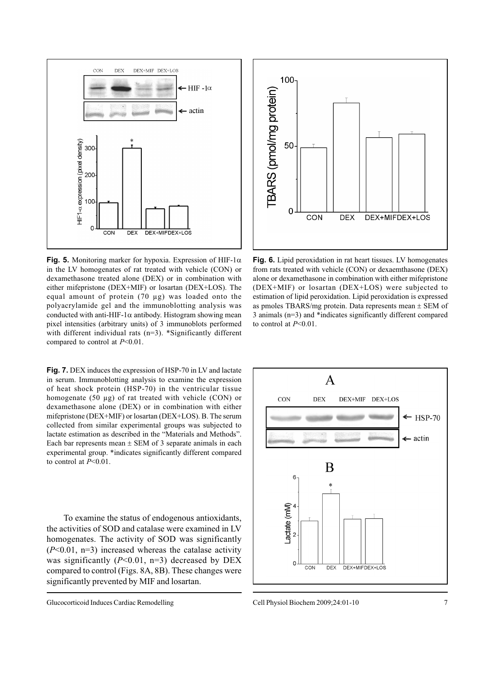

**Fig. 5.** Monitoring marker for hypoxia. Expression of HIF-1 $\alpha$ in the LV homogenates of rat treated with vehicle (CON) or dexamethasone treated alone (DEX) or in combination with either mifepristone (DEX+MIF) or losartan (DEX+LOS). The equal amount of protein (70 µg) was loaded onto the polyacrylamide gel and the immunoblotting analysis was conducted with anti-HIF-1 $\alpha$  antibody. Histogram showing mean pixel intensities (arbitrary units) of 3 immunoblots performed with different individual rats (n=3). \*Significantly different compared to control at *P*<0.01.

**Fig. 7.** DEX induces the expression of HSP-70 in LV and lactate in serum. Immunoblotting analysis to examine the expression of heat shock protein (HSP-70) in the ventricular tissue homogenate (50 µg) of rat treated with vehicle (CON) or dexamethasone alone (DEX) or in combination with either mifepristone (DEX+MIF) or losartan (DEX+LOS). B. The serum collected from similar experimental groups was subjected to lactate estimation as described in the "Materials and Methods". Each bar represents mean  $\pm$  SEM of 3 separate animals in each experimental group. \*indicates significantly different compared to control at *P*<0.01.

To examine the status of endogenous antioxidants, the activities of SOD and catalase were examined in LV homogenates. The activity of SOD was significantly  $(P<0.01, n=3)$  increased whereas the catalase activity was significantly (*P*<0.01, n=3) decreased by DEX compared to control (Figs. 8A, 8B). These changes were significantly prevented by MIF and losartan.





**Fig. 6.** Lipid peroxidation in rat heart tissues. LV homogenates from rats treated with vehicle (CON) or dexaemthasone (DEX) alone or dexamethasone in combination with either mifepristone (DEX+MIF) or losartan (DEX+LOS) were subjected to estimation of lipid peroxidation. Lipid peroxidation is expressed as pmoles TBARS/mg protein. Data represents mean  $\pm$  SEM of 3 animals (n=3) and \*indicates significantly different compared to control at *P*<0.01.

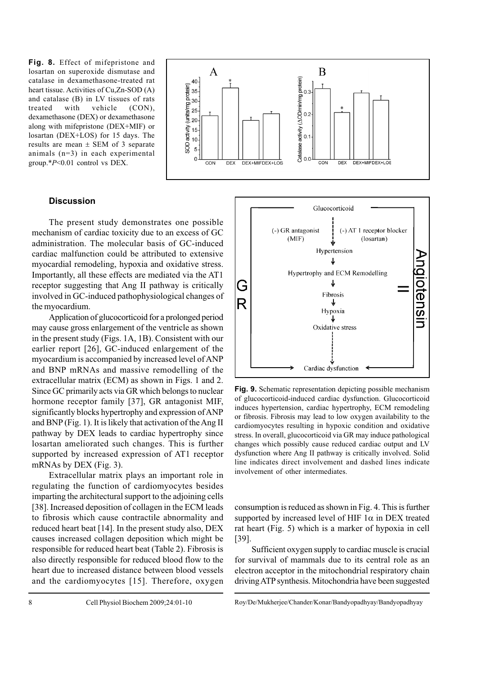**Fig. 8.** Effect of mifepristone and losartan on superoxide dismutase and catalase in dexamethasone-treated rat heart tissue. Activities of Cu,Zn-SOD (A) and catalase (B) in LV tissues of rats treated with vehicle (CON), dexamethasone (DEX) or dexamethasone along with mifepristone (DEX+MIF) or losartan (DEX+LOS) for 15 days. The results are mean  $\pm$  SEM of 3 separate animals (n=3) in each experimental group.\**P*<0.01 control vs DEX.



# **Discussion**

The present study demonstrates one possible mechanism of cardiac toxicity due to an excess of GC administration. The molecular basis of GC-induced cardiac malfunction could be attributed to extensive myocardial remodeling, hypoxia and oxidative stress. Importantly, all these effects are mediated via the AT1 receptor suggesting that Ang II pathway is critically involved in GC-induced pathophysiological changes of the myocardium.

Application of glucocorticoid for a prolonged period may cause gross enlargement of the ventricle as shown in the present study (Figs. 1A, 1B). Consistent with our earlier report [26], GC-induced enlargement of the myocardium is accompanied by increased level of ANP and BNP mRNAs and massive remodelling of the extracellular matrix (ECM) as shown in Figs. 1 and 2. Since GC primarily acts via GR which belongs to nuclear hormone receptor family [37], GR antagonist MIF, significantly blocks hypertrophy and expression of ANP and BNP (Fig. 1). It is likely that activation of the Ang II pathway by DEX leads to cardiac hypertrophy since losartan ameliorated such changes. This is further supported by increased expression of AT1 receptor mRNAs by DEX (Fig. 3).

Extracellular matrix plays an important role in regulating the function of cardiomyocytes besides imparting the architectural support to the adjoining cells [38]. Increased deposition of collagen in the ECM leads to fibrosis which cause contractile abnormality and reduced heart beat [14]. In the present study also, DEX causes increased collagen deposition which might be responsible for reduced heart beat (Table 2). Fibrosis is also directly responsible for reduced blood flow to the heart due to increased distance between blood vessels and the cardiomyocytes [15]. Therefore, oxygen



**Fig. 9.** Schematic representation depicting possible mechanism of glucocorticoid-induced cardiac dysfunction. Glucocorticoid induces hypertension, cardiac hypertrophy, ECM remodeling or fibrosis. Fibrosis may lead to low oxygen availability to the cardiomyocytes resulting in hypoxic condition and oxidative stress. In overall, glucocorticoid via GR may induce pathological changes which possibly cause reduced cardiac output and LV dysfunction where Ang II pathway is critically involved. Solid line indicates direct involvement and dashed lines indicate involvement of other intermediates.

consumption is reduced as shown in Fig. 4. This is further supported by increased level of HIF  $1\alpha$  in DEX treated rat heart (Fig. 5) which is a marker of hypoxia in cell [39].

Sufficient oxygen supply to cardiac muscle is crucial for survival of mammals due to its central role as an electron acceptor in the mitochondrial respiratory chain driving ATP synthesis. Mitochondria have been suggested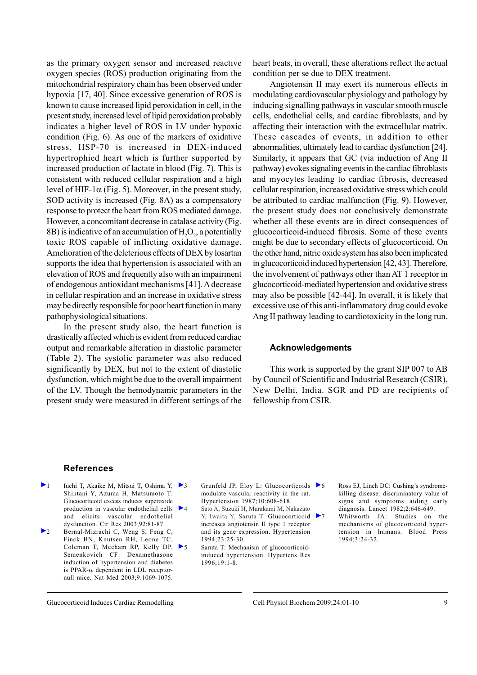as the primary oxygen sensor and increased reactive oxygen species (ROS) production originating from the mitochondrial respiratory chain has been observed under hypoxia [17, 40]. Since excessive generation of ROS is known to cause increased lipid peroxidation in cell, in the present study, increased level of lipid peroxidation probably indicates a higher level of ROS in LV under hypoxic condition (Fig. 6). As one of the markers of oxidative stress, HSP-70 is increased in DEX-induced hypertrophied heart which is further supported by increased production of lactate in blood (Fig. 7). This is consistent with reduced cellular respiration and a high level of HIF-1 $\alpha$  (Fig. 5). Moreover, in the present study, SOD activity is increased (Fig. 8A) as a compensatory response to protect the heart from ROS mediated damage. However, a concomitant decrease in catalase activity (Fig. 8B) is indicative of an accumulation of  $H_2O_2$ , a potentially toxic ROS capable of inflicting oxidative damage. Amelioration of the deleterious effects of DEX by losartan supports the idea that hypertension is associated with an elevation of ROS and frequently also with an impairment of endogenous antioxidant mechanisms [41]. A decrease in cellular respiration and an increase in oxidative stress may be directly responsible for poor heart function in many pathophysiological situations.

In the present study also, the heart function is drastically affected which is evident from reduced cardiac output and remarkable alteration in diastolic parameter (Table 2). The systolic parameter was also reduced significantly by DEX, but not to the extent of diastolic dysfunction, which might be due to the overall impairment of the LV. Though the hemodynamic parameters in the present study were measured in different settings of the

heart beats, in overall, these alterations reflect the actual condition per se due to DEX treatment.

Angiotensin II may exert its numerous effects in modulating cardiovascular physiology and pathology by inducing signalling pathways in vascular smooth muscle cells, endothelial cells, and cardiac fibroblasts, and by affecting their interaction with the extracellular matrix. These cascades of events, in addition to other abnormalities, ultimately lead to cardiac dysfunction [24]. Similarly, it appears that GC (via induction of Ang II pathway) evokes signaling events in the cardiac fibroblasts and myocytes leading to cardiac fibrosis, decreased cellular respiration, increased oxidative stress which could be attributed to cardiac malfunction (Fig. 9). However, the present study does not conclusively demonstrate whether all these events are in direct consequences of glucocorticoid-induced fibrosis. Some of these events might be due to secondary effects of glucocorticoid. On the other hand, nitric oxide system has also been implicated in glucocorticoid induced hypertension [42, 43]. Therefore, the involvement of pathways other than AT 1 receptor in glucocorticoid-mediated hypertension and oxidative stress may also be possible [42-44]. In overall, it is likely that excessive use of this anti-inflammatory drug could evoke Ang II pathway leading to cardiotoxicity in the long run.

# **Acknowledgements**

This work is supported by the grant SIP 007 to AB by Council of Scientific and Industrial Research (CSIR), New Delhi, India. SGR and PD are recipients of fellowship from CSIR.

#### **References**

- 1 Iuchi T, Akaike M, Mitsui T, Oshima Y,  $\triangleright$  3 Shintani Y, Azuma H, Matsumoto T: Glucocorticoid excess induces superoxide production in vascular endothelial cells  $\triangleright$  4 and elicits vascular endothelial dysfunction. Cir Res 2003;92:81-87. 2 Bernal-Mizrachi C, Weng S, Feng C,
- Finck BN, Knutsen RH, Leone TC, Coleman T, Mecham RP, Kelly DP, Semenkovich CF: Dexamethasone induction of hypertension and diabetes is PPAR- $\alpha$  dependent in LDL receptornull mice. Nat Med 2003;9:1069-1075.

Grunfeld JP, Eloy L: Glucocorticoids  $\triangleright$  6 modulate vascular reactivity in the rat. Hypertension 1987;10:608-618. 4 Sato A, Suzuki H, Murakami M, Nakazato

Y, Iwaita Y, Saruta T: Glucocorticoid increases angiotensin II type 1 receptor and its gene expression. Hypertension 1994;23:25-30. 5 Saruta T: Mechanism of glucocorticoid-

induced hypertension. Hypertens Res 1996;19:1-8.

Ross EJ, Linch DC: Cushing's syndrome-

killing disease: discriminatory value of signs and symptoms aiding early diagnosis. Lancet 1982;2:646-649. Whitworth JA: Studies on the

mechanisms of glucocorticoid hypertension in humans. Blood Press 1994;3:24-32.

Glucocorticoid Induces Cardiac Remodelling Cell Physiol Biochem 2009;24:01-10